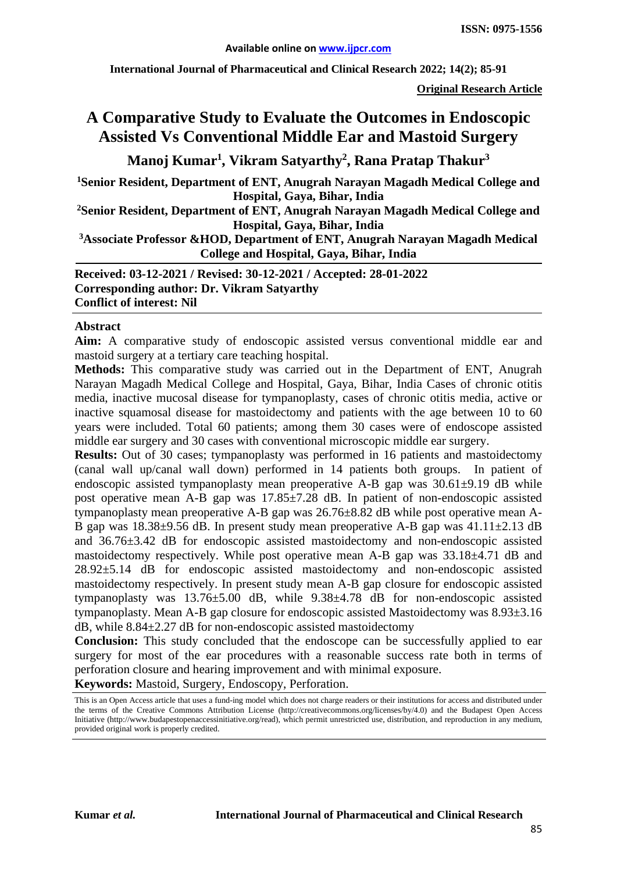**International Journal of Pharmaceutical and Clinical Research 2022; 14(2); 85-91**

**Original Research Article**

# **A Comparative Study to Evaluate the Outcomes in Endoscopic Assisted Vs Conventional Middle Ear and Mastoid Surgery**

**Manoj Kumar1 , Vikram Satyarthy2 , Rana Pratap Thakur3**

**1Senior Resident, Department of ENT, Anugrah Narayan Magadh Medical College and Hospital, Gaya, Bihar, India**

**2 Senior Resident, Department of ENT, Anugrah Narayan Magadh Medical College and Hospital, Gaya, Bihar, India**

**3 Associate Professor &HOD, Department of ENT, Anugrah Narayan Magadh Medical College and Hospital, Gaya, Bihar, India**

**Received: 03-12-2021 / Revised: 30-12-2021 / Accepted: 28-01-2022 Corresponding author: Dr. Vikram Satyarthy Conflict of interest: Nil**

#### **Abstract**

**Aim:** A comparative study of endoscopic assisted versus conventional middle ear and mastoid surgery at a tertiary care teaching hospital.

**Methods:** This comparative study was carried out in the Department of ENT, Anugrah Narayan Magadh Medical College and Hospital, Gaya, Bihar, India Cases of chronic otitis media, inactive mucosal disease for tympanoplasty, cases of chronic otitis media, active or inactive squamosal disease for mastoidectomy and patients with the age between 10 to 60 years were included. Total 60 patients; among them 30 cases were of endoscope assisted middle ear surgery and 30 cases with conventional microscopic middle ear surgery.

**Results:** Out of 30 cases; tympanoplasty was performed in 16 patients and mastoidectomy (canal wall up/canal wall down) performed in 14 patients both groups. In patient of endoscopic assisted tympanoplasty mean preoperative A-B gap was  $30.61\pm9.19$  dB while post operative mean A-B gap was 17.85±7.28 dB. In patient of non-endoscopic assisted tympanoplasty mean preoperative A-B gap was 26.76±8.82 dB while post operative mean A-B gap was  $18.38\pm9.56$  dB. In present study mean preoperative A-B gap was  $41.11\pm2.13$  dB and 36.76±3.42 dB for endoscopic assisted mastoidectomy and non-endoscopic assisted mastoidectomy respectively. While post operative mean A-B gap was 33.18±4.71 dB and 28.92±5.14 dB for endoscopic assisted mastoidectomy and non-endoscopic assisted mastoidectomy respectively. In present study mean A-B gap closure for endoscopic assisted tympanoplasty was 13.76±5.00 dB, while 9.38±4.78 dB for non-endoscopic assisted tympanoplasty. Mean A-B gap closure for endoscopic assisted Mastoidectomy was 8.93±3.16 dB, while 8.84±2.27 dB for non-endoscopic assisted mastoidectomy

**Conclusion:** This study concluded that the endoscope can be successfully applied to ear surgery for most of the ear procedures with a reasonable success rate both in terms of perforation closure and hearing improvement and with minimal exposure.

**Keywords:** Mastoid, Surgery, Endoscopy, Perforation.

This is an Open Access article that uses a fund-ing model which does not charge readers or their institutions for access and distributed under the terms of the Creative Commons Attribution License (http://creativecommons.org/licenses/by/4.0) and the Budapest Open Access Initiative (http://www.budapestopenaccessinitiative.org/read), which permit unrestricted use, distribution, and reproduction in any medium, provided original work is properly credited.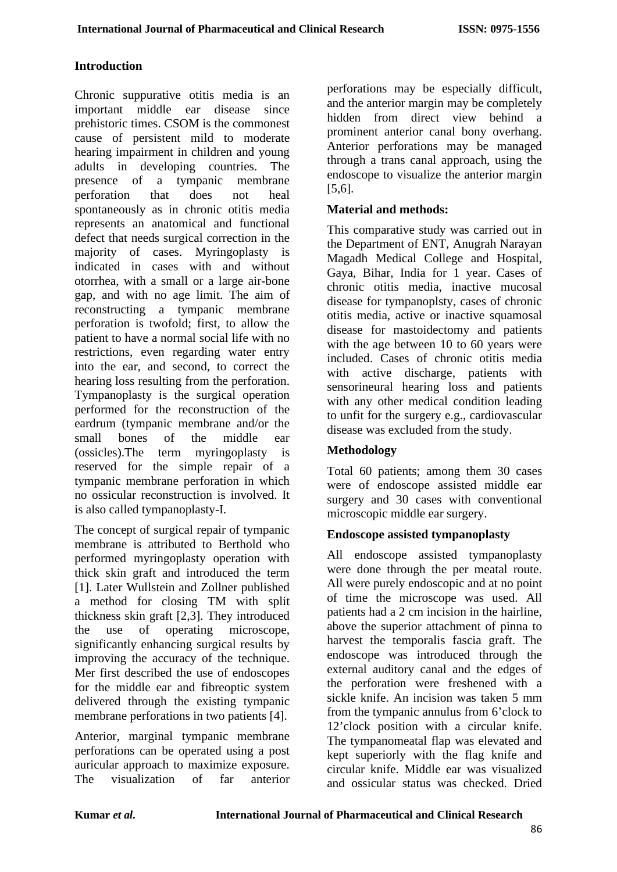# **Introduction**

Chronic suppurative otitis media is an important middle ear disease since prehistoric times. CSOM is the commonest cause of persistent mild to moderate hearing impairment in children and young adults in developing countries. The presence of a tympanic membrane perforation that does not heal spontaneously as in chronic otitis media represents an anatomical and functional defect that needs surgical correction in the majority of cases. Myringoplasty is indicated in cases with and without otorrhea, with a small or a large air-bone gap, and with no age limit. The aim of reconstructing a tympanic membrane perforation is twofold; first, to allow the patient to have a normal social life with no restrictions, even regarding water entry into the ear, and second, to correct the hearing loss resulting from the perforation. Tympanoplasty is the surgical operation performed for the reconstruction of the eardrum (tympanic membrane and/or the small bones of the middle ear (ossicles).The term myringoplasty is reserved for the simple repair of a tympanic membrane perforation in which no ossicular reconstruction is involved. It is also called tympanoplasty-I.

The concept of surgical repair of tympanic membrane is attributed to Berthold who performed myringoplasty operation with thick skin graft and introduced the term [1]. Later Wullstein and Zollner published a method for closing TM with split thickness skin graft [2,3]. They introduced the use of operating microscope, significantly enhancing surgical results by improving the accuracy of the technique. Mer first described the use of endoscopes for the middle ear and fibreoptic system delivered through the existing tympanic membrane perforations in two patients [4].

Anterior, marginal tympanic membrane perforations can be operated using a post auricular approach to maximize exposure. The visualization of far anterior

perforations may be especially difficult, and the anterior margin may be completely hidden from direct view behind a prominent anterior canal bony overhang. Anterior perforations may be managed through a trans canal approach, using the endoscope to visualize the anterior margin [5,6].

### **Material and methods:**

This comparative study was carried out in the Department of ENT, Anugrah Narayan Magadh Medical College and Hospital, Gaya, Bihar, India for 1 year. Cases of chronic otitis media, inactive mucosal disease for tympanoplsty, cases of chronic otitis media, active or inactive squamosal disease for mastoidectomy and patients with the age between 10 to 60 years were included. Cases of chronic otitis media with active discharge, patients with sensorineural hearing loss and patients with any other medical condition leading to unfit for the surgery e.g., cardiovascular disease was excluded from the study.

# **Methodology**

Total 60 patients; among them 30 cases were of endoscope assisted middle ear surgery and 30 cases with conventional microscopic middle ear surgery.

# **Endoscope assisted tympanoplasty**

All endoscope assisted tympanoplasty were done through the per meatal route. All were purely endoscopic and at no point of time the microscope was used. All patients had a 2 cm incision in the hairline, above the superior attachment of pinna to harvest the temporalis fascia graft. The endoscope was introduced through the external auditory canal and the edges of the perforation were freshened with a sickle knife. An incision was taken 5 mm from the tympanic annulus from 6'clock to 12'clock position with a circular knife. The tympanomeatal flap was elevated and kept superiorly with the flag knife and circular knife. Middle ear was visualized and ossicular status was checked. Dried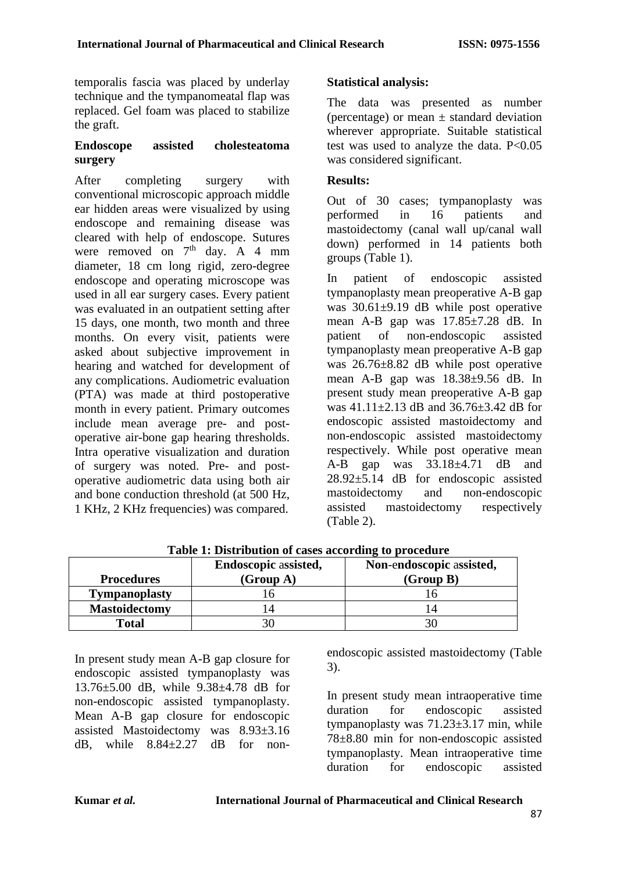temporalis fascia was placed by underlay technique and the tympanomeatal flap was replaced. Gel foam was placed to stabilize the graft.

### **Endoscope assisted cholesteatoma surgery**

After completing surgery with conventional microscopic approach middle ear hidden areas were visualized by using endoscope and remaining disease was cleared with help of endoscope. Sutures were removed on  $7<sup>th</sup>$  day. A 4 mm diameter, 18 cm long rigid, zero-degree endoscope and operating microscope was used in all ear surgery cases. Every patient was evaluated in an outpatient setting after 15 days, one month, two month and three months. On every visit, patients were asked about subjective improvement in hearing and watched for development of any complications. Audiometric evaluation (PTA) was made at third postoperative month in every patient. Primary outcomes include mean average pre- and postoperative air-bone gap hearing thresholds. Intra operative visualization and duration of surgery was noted. Pre- and postoperative audiometric data using both air and bone conduction threshold (at 500 Hz, 1 KHz, 2 KHz frequencies) was compared.

# **Statistical analysis:**

The data was presented as number (percentage) or mean  $\pm$  standard deviation wherever appropriate. Suitable statistical test was used to analyze the data. P<0.05 was considered significant.

### **Results:**

Out of 30 cases; tympanoplasty was performed in 16 patients and mastoidectomy (canal wall up/canal wall down) performed in 14 patients both groups (Table 1).

In patient of endoscopic assisted tympanoplasty mean preoperative A-B gap was  $30.61\pm9.19$  dB while post operative mean A-B gap was  $17.85 \pm 7.28$  dB. In patient of non-endoscopic assisted tympanoplasty mean preoperative A-B gap was 26.76±8.82 dB while post operative mean A-B gap was 18.38±9.56 dB. In present study mean preoperative A-B gap was 41.11±2.13 dB and 36.76±3.42 dB for endoscopic assisted mastoidectomy and non-endoscopic assisted mastoidectomy respectively. While post operative mean A-B gap was 33.18±4.71 dB and 28.92±5.14 dB for endoscopic assisted mastoidectomy and non-endoscopic assisted mastoidectomy respectively (Table 2).

|                      | Endoscopic assisted, | Non-endoscopic assisted, |
|----------------------|----------------------|--------------------------|
| <b>Procedures</b>    | (Group A)            | (Group B)                |
| <b>Tympanoplasty</b> |                      |                          |
| <b>Mastoidectomy</b> |                      |                          |
| Total                |                      |                          |

**Table 1: Distribution of cases according to procedure**

In present study mean A-B gap closure for endoscopic assisted tympanoplasty was 13.76±5.00 dB, while 9.38±4.78 dB for non-endoscopic assisted tympanoplasty. Mean A-B gap closure for endoscopic assisted Mastoidectomy was 8.93±3.16 dB, while  $8.84+2.27$  dB for nonendoscopic assisted mastoidectomy (Table 3).

In present study mean intraoperative time duration for endoscopic assisted tympanoplasty was  $71.23 \pm 3.17$  min, while 78±8.80 min for non-endoscopic assisted tympanoplasty. Mean intraoperative time duration for endoscopic assisted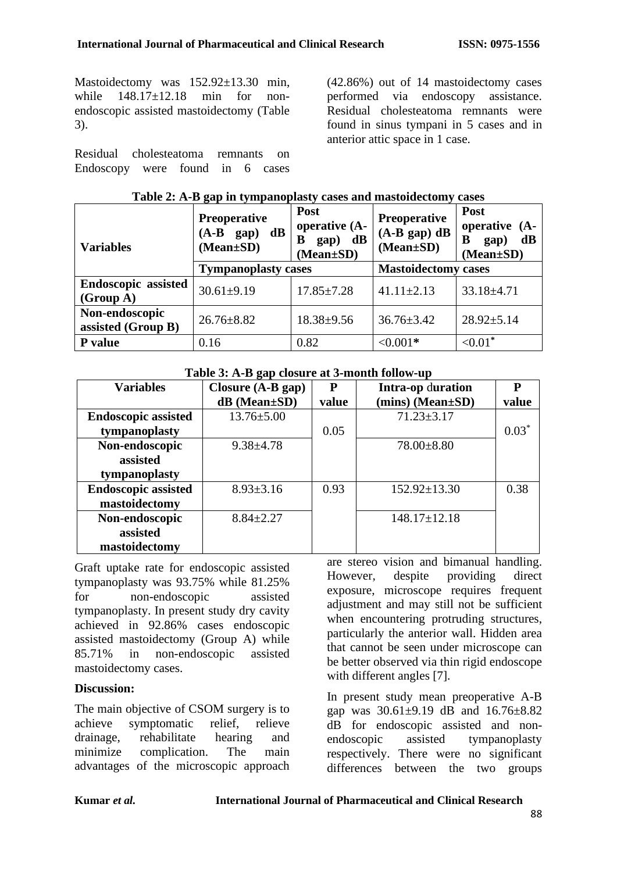Mastoidectomy was  $152.92\pm13.30$  min, while 148.17+12.18 min for nonendoscopic assisted mastoidectomy (Table 3).

Residual cholesteatoma remnants on Endoscopy were found in 6 cases (42.86%) out of 14 mastoidectomy cases performed via endoscopy assistance. Residual cholesteatoma remnants were found in sinus tympani in 5 cases and in anterior attic space in 1 case.

| <b>Variables</b>                        | Preoperative<br>$(A-B \text{ gap})$<br>$\mathbf{dB}$<br>$(Mean \pm SD)$ | Post<br>operative (A-<br>gap) dB<br>В<br>$(Mean \pm SD)$ | <b>Preoperative</b><br>$(A-B gap) dB$<br>$(Mean \pm SD)$ | Post<br>operative (A-<br>dB<br>B<br>gap)<br>$(Mean \pm SD)$ |
|-----------------------------------------|-------------------------------------------------------------------------|----------------------------------------------------------|----------------------------------------------------------|-------------------------------------------------------------|
|                                         | <b>Tympanoplasty cases</b>                                              |                                                          | <b>Mastoidectomy cases</b>                               |                                                             |
| <b>Endoscopic assisted</b><br>(Group A) | $30.61 \pm 9.19$                                                        | $17.85 \pm 7.28$                                         | $41.11 \pm 2.13$                                         | $33.18 \pm 4.71$                                            |
| Non-endoscopic<br>assisted (Group B)    | $26.76 \pm 8.82$                                                        | $18.38 \pm 9.56$                                         | $36.76 \pm 3.42$                                         | $28.92 \pm 5.14$                                            |
| P value                                 | 0.16                                                                    | 0.82                                                     | $<0.001*$                                                | ${<}0.01*$                                                  |

### **Table 2: A-B gap in tympanoplasty cases and mastoidectomy cases**

#### **Table 3: A-B gap closure at 3-month follow-up**

| <b>Variables</b>           | Closure $(A-B gap)$   | P     | Intra-op duration  | P       |
|----------------------------|-----------------------|-------|--------------------|---------|
|                            | $dB$ (Mean $\pm SD$ ) | value | (mins) (Mean±SD)   | value   |
| <b>Endoscopic assisted</b> | $13.76 \pm 5.00$      |       | $71.23 \pm 3.17$   |         |
| tympanoplasty              |                       | 0.05  |                    | $0.03*$ |
| Non-endoscopic             | $9.38 \pm 4.78$       |       | $78.00 \pm 8.80$   |         |
| assisted                   |                       |       |                    |         |
| tympanoplasty              |                       |       |                    |         |
| <b>Endoscopic assisted</b> | $8.93 \pm 3.16$       | 0.93  | $152.92 \pm 13.30$ | 0.38    |
| mastoidectomy              |                       |       |                    |         |
| Non-endoscopic             | $8.84 \pm 2.27$       |       | $148.17 \pm 12.18$ |         |
| assisted                   |                       |       |                    |         |
| mastoidectomy              |                       |       |                    |         |

Graft uptake rate for endoscopic assisted tympanoplasty was 93.75% while 81.25% for non-endoscopic assisted tympanoplasty. In present study dry cavity achieved in 92.86% cases endoscopic assisted mastoidectomy (Group A) while 85.71% in non-endoscopic assisted mastoidectomy cases.

# **Discussion:**

The main objective of CSOM surgery is to achieve symptomatic relief, relieve drainage, rehabilitate hearing and minimize complication. The main advantages of the microscopic approach are stereo vision and bimanual handling. However, despite providing direct exposure, microscope requires frequent adjustment and may still not be sufficient when encountering protruding structures, particularly the anterior wall. Hidden area that cannot be seen under microscope can be better observed via thin rigid endoscope with different angles [7].

In present study mean preoperative A-B gap was  $30.61 \pm 9.19$  dB and  $16.76 \pm 8.82$ dB for endoscopic assisted and nonendoscopic assisted tympanoplasty respectively. There were no significant differences between the two groups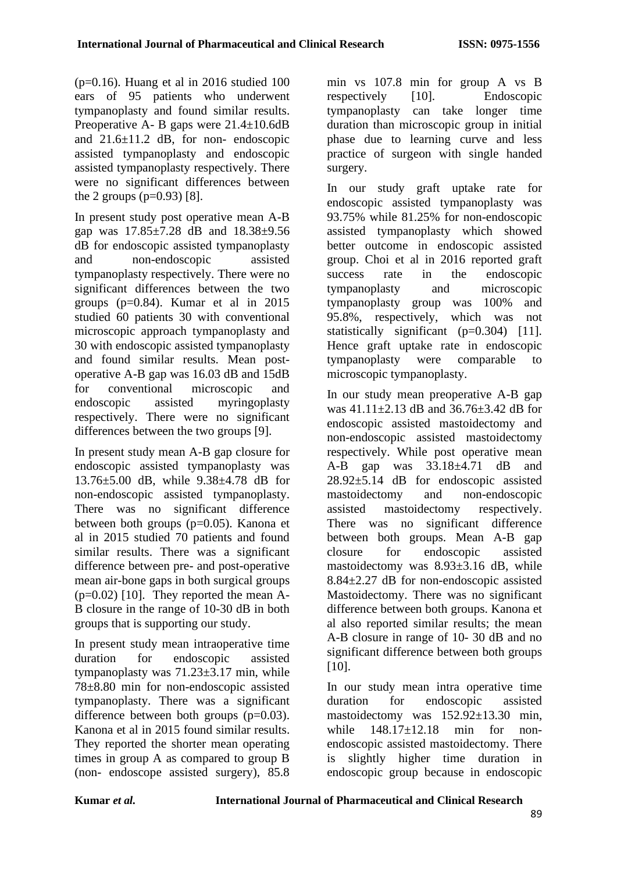( $p=0.16$ ). Huang et al in 2016 studied 100 ears of 95 patients who underwent tympanoplasty and found similar results. Preoperative A- B gaps were 21.4±10.6dB and 21.6±11.2 dB, for non- endoscopic assisted tympanoplasty and endoscopic assisted tympanoplasty respectively. There were no significant differences between the 2 groups  $(p=0.93)$  [8].

In present study post operative mean A-B gap was 17.85±7.28 dB and 18.38±9.56 dB for endoscopic assisted tympanoplasty and non-endoscopic assisted tympanoplasty respectively. There were no significant differences between the two groups (p=0.84). Kumar et al in 2015 studied 60 patients 30 with conventional microscopic approach tympanoplasty and 30 with endoscopic assisted tympanoplasty and found similar results. Mean postoperative A-B gap was 16.03 dB and 15dB for conventional microscopic and endoscopic assisted myringoplasty respectively. There were no significant differences between the two groups [9].

In present study mean A-B gap closure for endoscopic assisted tympanoplasty was 13.76±5.00 dB, while 9.38±4.78 dB for non-endoscopic assisted tympanoplasty. There was no significant difference between both groups (p=0.05). Kanona et al in 2015 studied 70 patients and found similar results. There was a significant difference between pre- and post-operative mean air-bone gaps in both surgical groups  $(p=0.02)$  [10]. They reported the mean A-B closure in the range of 10-30 dB in both groups that is supporting our study.

In present study mean intraoperative time duration for endoscopic assisted tympanoplasty was 71.23±3.17 min, while 78±8.80 min for non-endoscopic assisted tympanoplasty. There was a significant difference between both groups  $(p=0.03)$ . Kanona et al in 2015 found similar results. They reported the shorter mean operating times in group A as compared to group B (non- endoscope assisted surgery), 85.8

min vs 107.8 min for group A vs B respectively [10]. Endoscopic tympanoplasty can take longer time duration than microscopic group in initial phase due to learning curve and less practice of surgeon with single handed surgery.

In our study graft uptake rate for endoscopic assisted tympanoplasty was 93.75% while 81.25% for non-endoscopic assisted tympanoplasty which showed better outcome in endoscopic assisted group. Choi et al in 2016 reported graft success rate in the endoscopic tympanoplasty and microscopic tympanoplasty group was 100% and 95.8%, respectively, which was not statistically significant (p=0.304) [11]. Hence graft uptake rate in endoscopic tympanoplasty were comparable to microscopic tympanoplasty.

In our study mean preoperative A-B gap was 41.11±2.13 dB and 36.76±3.42 dB for endoscopic assisted mastoidectomy and non-endoscopic assisted mastoidectomy respectively. While post operative mean A-B gap was 33.18±4.71 dB and 28.92±5.14 dB for endoscopic assisted mastoidectomy and non-endoscopic assisted mastoidectomy respectively. There was no significant difference between both groups. Mean A-B gap closure for endoscopic assisted mastoidectomy was 8.93±3.16 dB, while 8.84±2.27 dB for non-endoscopic assisted Mastoidectomy. There was no significant difference between both groups. Kanona et al also reported similar results; the mean A-B closure in range of 10- 30 dB and no significant difference between both groups [10].

In our study mean intra operative time duration for endoscopic assisted mastoidectomy was 152.92±13.30 min. while 148.17±12.18 min for nonendoscopic assisted mastoidectomy. There is slightly higher time duration in endoscopic group because in endoscopic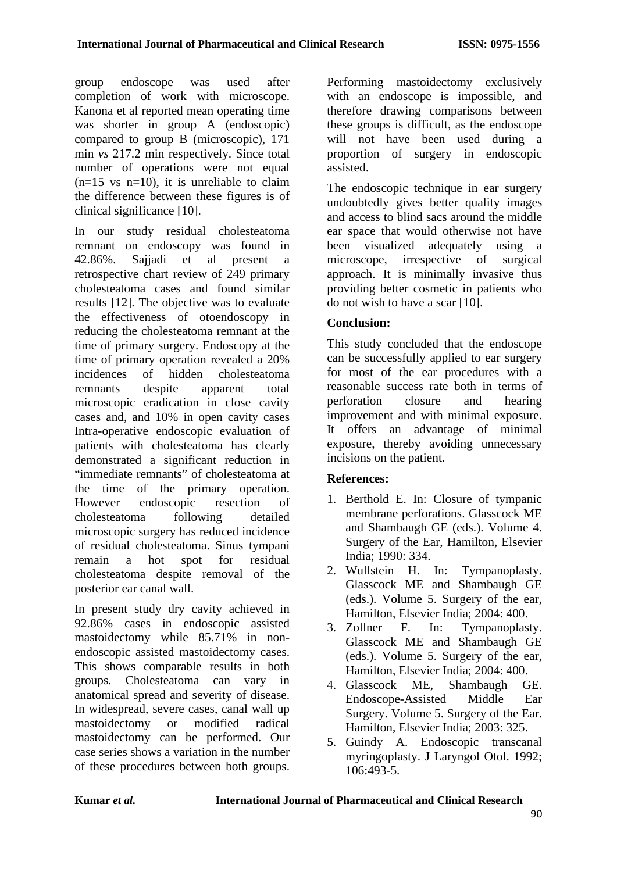group endoscope was used after completion of work with microscope. Kanona et al reported mean operating time was shorter in group A (endoscopic) compared to group B (microscopic), 171 min *vs* 217.2 min respectively. Since total number of operations were not equal  $(n=15 \text{ vs } n=10)$ , it is unreliable to claim the difference between these figures is of clinical significance [10].

In our study residual cholesteatoma remnant on endoscopy was found in 42.86%. Sajjadi et al present a retrospective chart review of 249 primary cholesteatoma cases and found similar results [12]. The objective was to evaluate the effectiveness of otoendoscopy in reducing the cholesteatoma remnant at the time of primary surgery. Endoscopy at the time of primary operation revealed a 20% incidences of hidden cholesteatoma remnants despite apparent total microscopic eradication in close cavity cases and, and 10% in open cavity cases Intra-operative endoscopic evaluation of patients with cholesteatoma has clearly demonstrated a significant reduction in "immediate remnants" of cholesteatoma at the time of the primary operation. However endoscopic resection of cholesteatoma following detailed microscopic surgery has reduced incidence of residual cholesteatoma. Sinus tympani remain a hot spot for residual cholesteatoma despite removal of the posterior ear canal wall.

In present study dry cavity achieved in 92.86% cases in endoscopic assisted mastoidectomy while 85.71% in nonendoscopic assisted mastoidectomy cases. This shows comparable results in both groups. Cholesteatoma can vary in anatomical spread and severity of disease. In widespread, severe cases, canal wall up mastoidectomy or modified radical mastoidectomy can be performed. Our case series shows a variation in the number of these procedures between both groups.

Performing mastoidectomy exclusively with an endoscope is impossible, and therefore drawing comparisons between these groups is difficult, as the endoscope will not have been used during a proportion of surgery in endoscopic assisted.

The endoscopic technique in ear surgery undoubtedly gives better quality images and access to blind sacs around the middle ear space that would otherwise not have been visualized adequately using a microscope, irrespective of surgical approach. It is minimally invasive thus providing better cosmetic in patients who do not wish to have a scar [10].

# **Conclusion:**

This study concluded that the endoscope can be successfully applied to ear surgery for most of the ear procedures with a reasonable success rate both in terms of perforation closure and hearing improvement and with minimal exposure. It offers an advantage of minimal exposure, thereby avoiding unnecessary incisions on the patient.

# **References:**

- 1. Berthold E. In: Closure of tympanic membrane perforations. Glasscock ME and Shambaugh GE (eds.). Volume 4. Surgery of the Ear, Hamilton, Elsevier India; 1990: 334.
- 2. Wullstein H. In: Tympanoplasty. Glasscock ME and Shambaugh GE (eds.). Volume 5. Surgery of the ear, Hamilton, Elsevier India; 2004: 400.
- 3. Zollner F. In: Tympanoplasty. Glasscock ME and Shambaugh GE (eds.). Volume 5. Surgery of the ear, Hamilton, Elsevier India; 2004: 400.
- 4. Glasscock ME, Shambaugh GE. Endoscope-Assisted Middle Ear Surgery. Volume 5. Surgery of the Ear. Hamilton, Elsevier India; 2003: 325.
- 5. Guindy A. Endoscopic transcanal myringoplasty. J Laryngol Otol. 1992; 106:493-5.